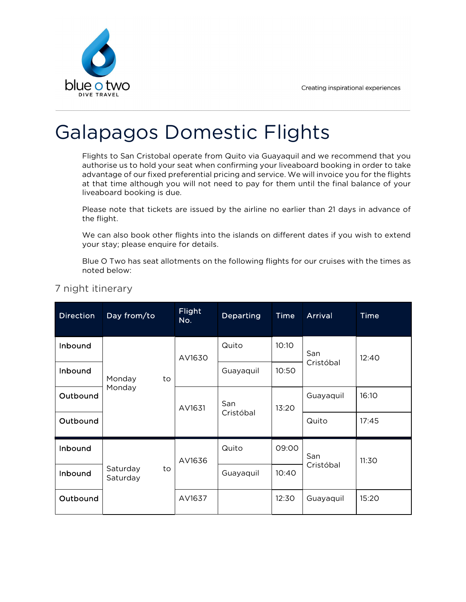

## Galapagos Domestic Flights

Flights to San Cristobal operate from Quito via Guayaquil and we recommend that you authorise us to hold your seat when confirming your liveaboard booking in order to take advantage of our fixed preferential pricing and service. We will invoice you for the flights at that time although you will not need to pay for them until the final balance of your liveaboard booking is due.

Please note that tickets are issued by the airline no earlier than 21 days in advance of the flight.

We can also book other flights into the islands on different dates if you wish to extend your stay; please enquire for details.

Blue O Two has seat allotments on the following flights for our cruises with the times as noted below:

| <b>Direction</b> | Day from/to                | <b>Flight</b><br>No. | <b>Departing</b> | <b>Time</b> | <b>Arrival</b> | Time  |
|------------------|----------------------------|----------------------|------------------|-------------|----------------|-------|
| Inbound          |                            | AV1630<br>AV1631     | Quito            | 10:10       | San            | 12:40 |
| Inbound          | Monday<br>to               |                      | Guayaquil        | 10:50       | Cristóbal      |       |
| Outbound         | Monday                     |                      | San<br>Cristóbal | 13:20       | Guayaquil      | 16:10 |
| Outbound         |                            |                      |                  |             | Quito          | 17:45 |
| Inbound          |                            | AV1636               | Quito            | 09:00       | San            | 11:30 |
| Inbound          | Saturday<br>to<br>Saturday |                      | Guayaquil        | 10:40       | Cristóbal      |       |
| Outbound         |                            | AV1637               |                  | 12:30       | Guayaquil      | 15:20 |

7 night itinerary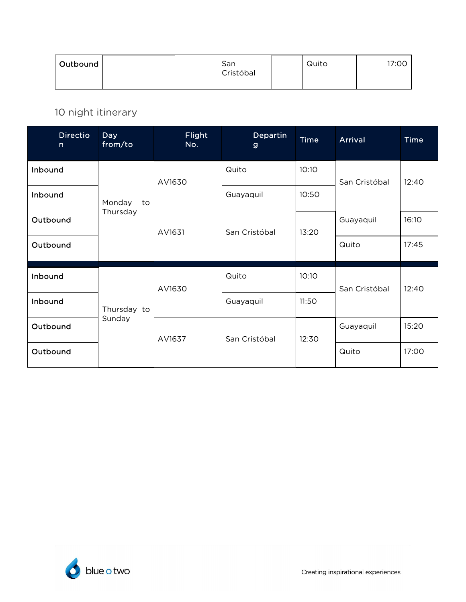| Outbound | San<br>Cristóbal | Quito | 17:00 |
|----------|------------------|-------|-------|
|----------|------------------|-------|-------|

10 night itinerary

| <b>Directio</b><br>$\mathsf{n}$ | <b>Day</b><br>from/to | <b>Flight</b><br>No. | <b>Departin</b><br>$\mathbf{g}$ | <b>Time</b> | <b>Arrival</b> | <b>Time</b> |
|---------------------------------|-----------------------|----------------------|---------------------------------|-------------|----------------|-------------|
| Inbound                         |                       | AV1630               | Quito                           | 10:10       | San Cristóbal  | 12:40       |
| Inbound                         | Monday<br>to          |                      | Guayaquil                       | 10:50       |                |             |
| Outbound                        | Thursday              | AV1631               | San Cristóbal                   | 13:20       | Guayaquil      | 16:10       |
| Outbound                        |                       |                      |                                 |             | Quito          | 17:45       |
| Inbound                         |                       | AV1630               | Quito                           | 10:10       | San Cristóbal  | 12:40       |
| Inbound                         | Thursday to           |                      | Guayaquil                       | 11:50       |                |             |
| Outbound                        | Sunday                | AV1637               | San Cristóbal                   | 12:30       | Guayaquil      | 15:20       |
| Outbound                        |                       |                      |                                 |             | Quito          | 17:00       |

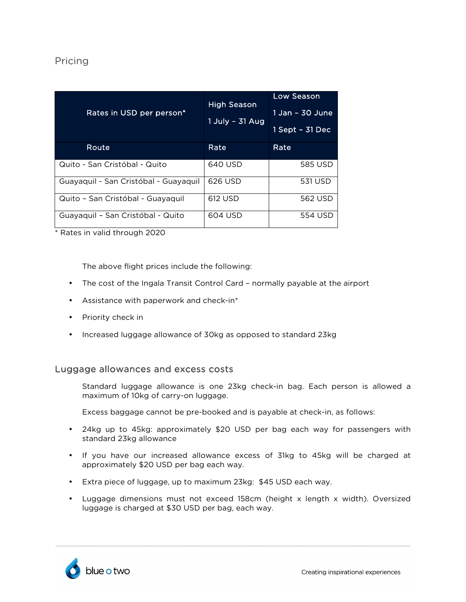## Pricing

| Rates in USD per person*              | <b>High Season</b><br>1 July - 31 Aug | Low Season<br>1 Jan - 30 June<br>1 Sept - 31 Dec |
|---------------------------------------|---------------------------------------|--------------------------------------------------|
| Route                                 | Rate                                  | Rate                                             |
|                                       |                                       |                                                  |
| Quito - San Cristóbal - Quito         | 640 USD                               | 585 USD                                          |
| Guayaquil - San Cristóbal - Guayaquil | 626 USD                               | 531 USD                                          |
|                                       |                                       |                                                  |
| Quito - San Cristóbal - Guayaquil     | 612 USD                               | 562 USD                                          |
| Guayaquil - San Cristóbal - Quito     | 604 USD                               | 554 USD                                          |

\* Rates in valid through 2020

The above flight prices include the following:

- The cost of the Ingala Transit Control Card normally payable at the airport
- Assistance with paperwork and check-in\*
- Priority check in
- Increased luggage allowance of 30kg as opposed to standard 23kg

## Luggage allowances and excess costs

Standard luggage allowance is one 23kg check-in bag. Each person is allowed a maximum of 10kg of carry-on luggage.

Excess baggage cannot be pre-booked and is payable at check-in, as follows:

- 24kg up to 45kg: approximately \$20 USD per bag each way for passengers with standard 23kg allowance
- If you have our increased allowance excess of 31kg to 45kg will be charged at approximately \$20 USD per bag each way.
- Extra piece of luggage, up to maximum 23kg: \$45 USD each way.
- Luggage dimensions must not exceed 158cm (height x length x width). Oversized luggage is charged at \$30 USD per bag, each way.